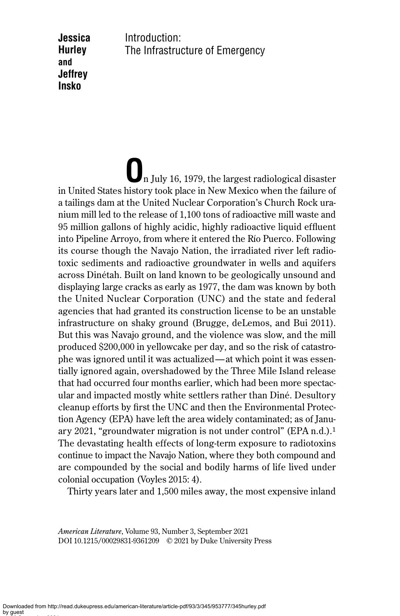## Introduction: The Infrastructure of Emergency

Jessica **Hurley** and Jeffrey Insko

**O**n July 16, 1979, the largest radiological disaster in United States history took place in New Mexico when the failure of a tailings dam at the United Nuclear Corporation's Church Rock uranium mill led to the release of 1,100 tons of radioactive mill waste and 95 million gallons of highly acidic, highly radioactive liquid effluent into Pipeline Arroyo, from where it entered the Río Puerco. Following its course though the Navajo Nation, the irradiated river left radiotoxic sediments and radioactive groundwater in wells and aquifers across Dinétah. Built on land known to be geologically unsound and displaying large cracks as early as 1977, the dam was known by both the United Nuclear Corporation (UNC) and the state and federal agencies that had granted its construction license to be an unstable infrastructure on shaky ground (Brugge, deLemos, and Bui 2011). But this was Navajo ground, and the violence was slow, and the mill produced \$200,000 in yellowcake per day, and so the risk of catastrophe was ignored until it was actualized—at which point it was essentially ignored again, overshadowed by the Three Mile Island release that had occurred four months earlier, which had been more spectacular and impacted mostly white settlers rather than Diné. Desultory cleanup efforts by first the UNC and then the Environmental Protection Agency (EPA) have left the area widely contaminated; as of January 2021, "groundwater migration is not under control" (EPA n.d.).1 The devastating health effects of long-term exposure to radiotoxins continue to impact the Navajo Nation, where they both compound and are compounded by the social and bodily harms of life lived under colonial occupation (Voyles 2015: 4).

Thirty years later and 1,500 miles away, the most expensive inland

American Literature, Volume 93, Number 3, September 2021 DOI 10.1215/00029831-9361209 © 2021 by Duke University Press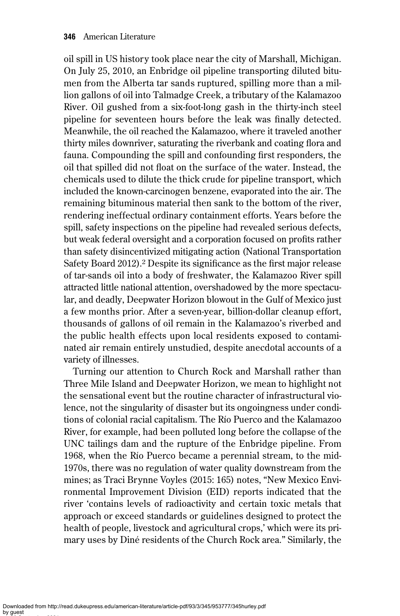oil spill in US history took place near the city of Marshall, Michigan. On July 25, 2010, an Enbridge oil pipeline transporting diluted bitumen from the Alberta tar sands ruptured, spilling more than a million gallons of oil into Talmadge Creek, a tributary of the Kalamazoo River. Oil gushed from a six-foot-long gash in the thirty-inch steel pipeline for seventeen hours before the leak was finally detected. Meanwhile, the oil reached the Kalamazoo, where it traveled another thirty miles downriver, saturating the riverbank and coating flora and fauna. Compounding the spill and confounding first responders, the oil that spilled did not float on the surface of the water. Instead, the chemicals used to dilute the thick crude for pipeline transport, which included the known-carcinogen benzene, evaporated into the air. The remaining bituminous material then sank to the bottom of the river, rendering ineffectual ordinary containment efforts. Years before the spill, safety inspections on the pipeline had revealed serious defects, but weak federal oversight and a corporation focused on profits rather than safety disincentivized mitigating action (National Transportation Safety Board 2012).2 Despite its significance as the first major release of tar-sands oil into a body of freshwater, the Kalamazoo River spill attracted little national attention, overshadowed by the more spectacular, and deadly, Deepwater Horizon blowout in the Gulf of Mexico just a few months prior. After a seven-year, billion-dollar cleanup effort, thousands of gallons of oil remain in the Kalamazoo's riverbed and the public health effects upon local residents exposed to contaminated air remain entirely unstudied, despite anecdotal accounts of a variety of illnesses.

Turning our attention to Church Rock and Marshall rather than Three Mile Island and Deepwater Horizon, we mean to highlight not the sensational event but the routine character of infrastructural violence, not the singularity of disaster but its ongoingness under conditions of colonial racial capitalism. The Río Puerco and the Kalamazoo River, for example, had been polluted long before the collapse of the UNC tailings dam and the rupture of the Enbridge pipeline. From 1968, when the Río Puerco became a perennial stream, to the mid-1970s, there was no regulation of water quality downstream from the mines; as Traci Brynne Voyles (2015: 165) notes, "New Mexico Environmental Improvement Division (EID) reports indicated that the river 'contains levels of radioactivity and certain toxic metals that approach or exceed standards or guidelines designed to protect the health of people, livestock and agricultural crops,' which were its primary uses by Diné residents of the Church Rock area." Similarly, the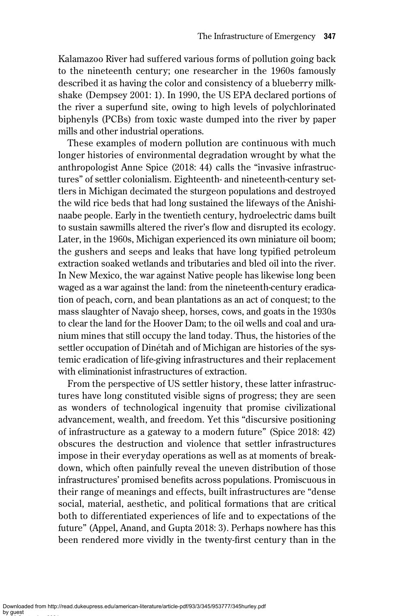Kalamazoo River had suffered various forms of pollution going back to the nineteenth century; one researcher in the 1960s famously described it as having the color and consistency of a blueberry milkshake (Dempsey 2001: 1). In 1990, the US EPA declared portions of the river a superfund site, owing to high levels of polychlorinated biphenyls (PCBs) from toxic waste dumped into the river by paper mills and other industrial operations.

These examples of modern pollution are continuous with much longer histories of environmental degradation wrought by what the anthropologist Anne Spice (2018: 44) calls the "invasive infrastructures" of settler colonialism. Eighteenth- and nineteenth-century settlers in Michigan decimated the sturgeon populations and destroyed the wild rice beds that had long sustained the lifeways of the Anishinaabe people. Early in the twentieth century, hydroelectric dams built to sustain sawmills altered the river's flow and disrupted its ecology. Later, in the 1960s, Michigan experienced its own miniature oil boom; the gushers and seeps and leaks that have long typified petroleum extraction soaked wetlands and tributaries and bled oil into the river. In New Mexico, the war against Native people has likewise long been waged as a war against the land: from the nineteenth-century eradication of peach, corn, and bean plantations as an act of conquest; to the mass slaughter of Navajo sheep, horses, cows, and goats in the 1930s to clear the land for the Hoover Dam; to the oil wells and coal and uranium mines that still occupy the land today. Thus, the histories of the settler occupation of Dinétah and of Michigan are histories of the systemic eradication of life-giving infrastructures and their replacement with eliminationist infrastructures of extraction.

From the perspective of US settler history, these latter infrastructures have long constituted visible signs of progress; they are seen as wonders of technological ingenuity that promise civilizational advancement, wealth, and freedom. Yet this "discursive positioning of infrastructure as a gateway to a modern future" (Spice 2018: 42) obscures the destruction and violence that settler infrastructures impose in their everyday operations as well as at moments of breakdown, which often painfully reveal the uneven distribution of those infrastructures' promised benefits across populations. Promiscuous in their range of meanings and effects, built infrastructures are "dense social, material, aesthetic, and political formations that are critical both to differentiated experiences of life and to expectations of the future" (Appel, Anand, and Gupta 2018: 3). Perhaps nowhere has this been rendered more vividly in the twenty-first century than in the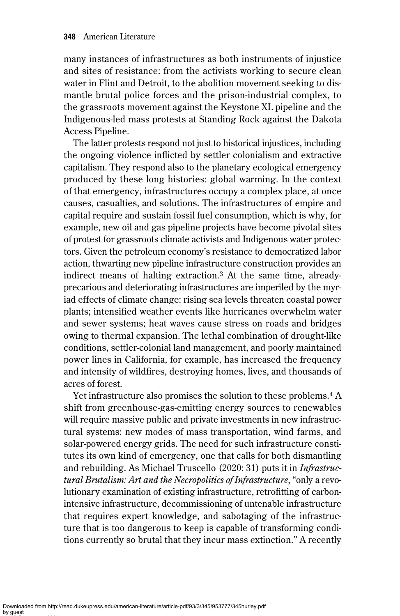many instances of infrastructures as both instruments of injustice and sites of resistance: from the activists working to secure clean water in Flint and Detroit, to the abolition movement seeking to dismantle brutal police forces and the prison-industrial complex, to the grassroots movement against the Keystone XL pipeline and the Indigenous-led mass protests at Standing Rock against the Dakota Access Pipeline.

The latter protests respond not just to historical injustices, including the ongoing violence inflicted by settler colonialism and extractive capitalism. They respond also to the planetary ecological emergency produced by these long histories: global warming. In the context of that emergency, infrastructures occupy a complex place, at once causes, casualties, and solutions. The infrastructures of empire and capital require and sustain fossil fuel consumption, which is why, for example, new oil and gas pipeline projects have become pivotal sites of protest for grassroots climate activists and Indigenous water protectors. Given the petroleum economy's resistance to democratized labor action, thwarting new pipeline infrastructure construction provides an indirect means of halting extraction.3 At the same time, alreadyprecarious and deteriorating infrastructures are imperiled by the myriad effects of climate change: rising sea levels threaten coastal power plants; intensified weather events like hurricanes overwhelm water and sewer systems; heat waves cause stress on roads and bridges owing to thermal expansion. The lethal combination of drought-like conditions, settler-colonial land management, and poorly maintained power lines in California, for example, has increased the frequency and intensity of wildfires, destroying homes, lives, and thousands of acres of forest.

Yet infrastructure also promises the solution to these problems.<sup>4</sup> A shift from greenhouse-gas-emitting energy sources to renewables will require massive public and private investments in new infrastructural systems: new modes of mass transportation, wind farms, and solar-powered energy grids. The need for such infrastructure constitutes its own kind of emergency, one that calls for both dismantling and rebuilding. As Michael Truscello (2020: 31) puts it in Infrastructural Brutalism: Art and the Necropolitics of Infrastructure, "only a revolutionary examination of existing infrastructure, retrofitting of carbonintensive infrastructure, decommissioning of untenable infrastructure that requires expert knowledge, and sabotaging of the infrastructure that is too dangerous to keep is capable of transforming conditions currently so brutal that they incur mass extinction." A recently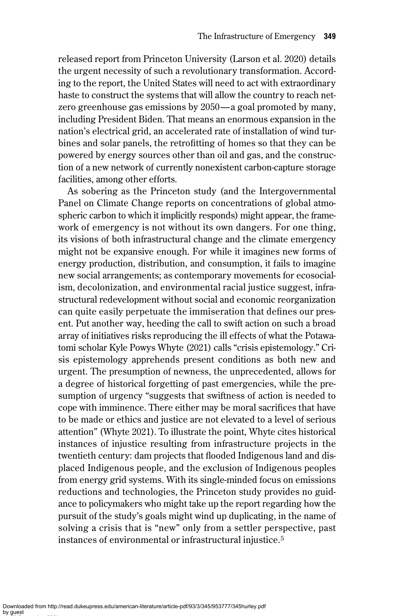released report from Princeton University (Larson et al. 2020) details the urgent necessity of such a revolutionary transformation. According to the report, the United States will need to act with extraordinary haste to construct the systems that will allow the country to reach netzero greenhouse gas emissions by 2050—a goal promoted by many, including President Biden. That means an enormous expansion in the nation's electrical grid, an accelerated rate of installation of wind turbines and solar panels, the retrofitting of homes so that they can be powered by energy sources other than oil and gas, and the construction of a new network of currently nonexistent carbon-capture storage facilities, among other efforts.

As sobering as the Princeton study (and the Intergovernmental Panel on Climate Change reports on concentrations of global atmospheric carbon to which it implicitly responds) might appear, the framework of emergency is not without its own dangers. For one thing, its visions of both infrastructural change and the climate emergency might not be expansive enough. For while it imagines new forms of energy production, distribution, and consumption, it fails to imagine new social arrangements; as contemporary movements for ecosocialism, decolonization, and environmental racial justice suggest, infrastructural redevelopment without social and economic reorganization can quite easily perpetuate the immiseration that defines our present. Put another way, heeding the call to swift action on such a broad array of initiatives risks reproducing the ill effects of what the Potawatomi scholar Kyle Powys Whyte (2021) calls "crisis epistemology." Crisis epistemology apprehends present conditions as both new and urgent. The presumption of newness, the unprecedented, allows for a degree of historical forgetting of past emergencies, while the presumption of urgency "suggests that swiftness of action is needed to cope with imminence. There either may be moral sacrifices that have to be made or ethics and justice are not elevated to a level of serious attention" (Whyte 2021). To illustrate the point, Whyte cites historical instances of injustice resulting from infrastructure projects in the twentieth century: dam projects that flooded Indigenous land and displaced Indigenous people, and the exclusion of Indigenous peoples from energy grid systems. With its single-minded focus on emissions reductions and technologies, the Princeton study provides no guidance to policymakers who might take up the report regarding how the pursuit of the study's goals might wind up duplicating, in the name of solving a crisis that is "new" only from a settler perspective, past instances of environmental or infrastructural injustice.5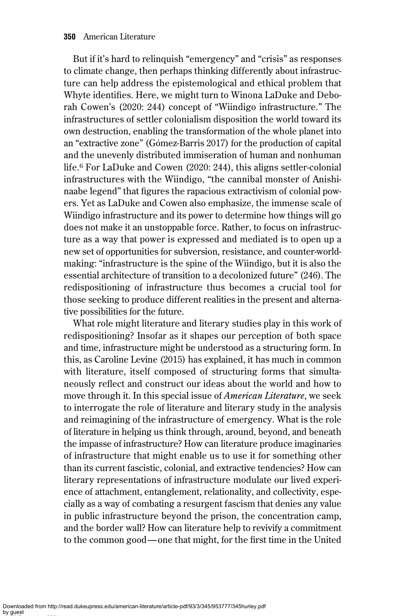But if it's hard to relinquish "emergency" and "crisis" as responses to climate change, then perhaps thinking differently about infrastructure can help address the epistemological and ethical problem that Whyte identifies. Here, we might turn to Winona LaDuke and Deborah Cowen's (2020: 244) concept of "Wiindigo infrastructure." The infrastructures of settler colonialism disposition the world toward its own destruction, enabling the transformation of the whole planet into an "extractive zone" (Gómez-Barris 2017) for the production of capital and the unevenly distributed immiseration of human and nonhuman life.<sup>6</sup> For LaDuke and Cowen (2020: 244), this aligns settler-colonial infrastructures with the Wiindigo, "the cannibal monster of Anishinaabe legend" that figures the rapacious extractivism of colonial powers. Yet as LaDuke and Cowen also emphasize, the immense scale of Wiindigo infrastructure and its power to determine how things will go does not make it an unstoppable force. Rather, to focus on infrastructure as a way that power is expressed and mediated is to open up a new set of opportunities for subversion, resistance, and counter-worldmaking: "infrastructure is the spine of the Wiindigo, but it is also the essential architecture of transition to a decolonized future" (246). The redispositioning of infrastructure thus becomes a crucial tool for those seeking to produce different realities in the present and alternative possibilities for the future.

What role might literature and literary studies play in this work of redispositioning? Insofar as it shapes our perception of both space and time, infrastructure might be understood as a structuring form. In this, as Caroline Levine (2015) has explained, it has much in common with literature, itself composed of structuring forms that simultaneously reflect and construct our ideas about the world and how to move through it. In this special issue of *American Literature*, we seek to interrogate the role of literature and literary study in the analysis and reimagining of the infrastructure of emergency. What is the role of literature in helping us think through, around, beyond, and beneath the impasse of infrastructure? How can literature produce imaginaries of infrastructure that might enable us to use it for something other than its current fascistic, colonial, and extractive tendencies? How can literary representations of infrastructure modulate our lived experience of attachment, entanglement, relationality, and collectivity, especially as a way of combating a resurgent fascism that denies any value in public infrastructure beyond the prison, the concentration camp, and the border wall? How can literature help to revivify a commitment to the common good—one that might, for the first time in the United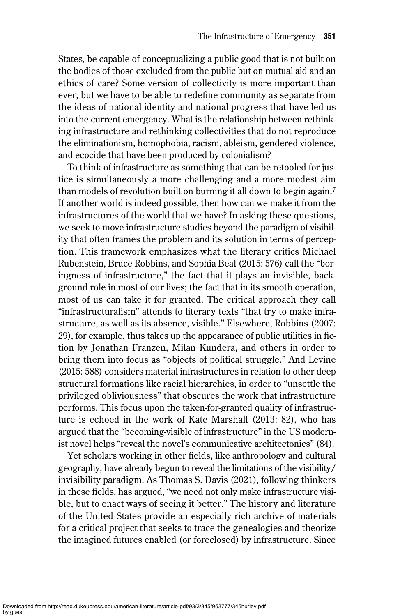States, be capable of conceptualizing a public good that is not built on the bodies of those excluded from the public but on mutual aid and an ethics of care? Some version of collectivity is more important than ever, but we have to be able to redefine community as separate from the ideas of national identity and national progress that have led us into the current emergency. What is the relationship between rethinking infrastructure and rethinking collectivities that do not reproduce the eliminationism, homophobia, racism, ableism, gendered violence, and ecocide that have been produced by colonialism?

To think of infrastructure as something that can be retooled for justice is simultaneously a more challenging and a more modest aim than models of revolution built on burning it all down to begin again.7 If another world is indeed possible, then how can we make it from the infrastructures of the world that we have? In asking these questions, we seek to move infrastructure studies beyond the paradigm of visibility that often frames the problem and its solution in terms of perception. This framework emphasizes what the literary critics Michael Rubenstein, Bruce Robbins, and Sophia Beal (2015: 576) call the "boringness of infrastructure," the fact that it plays an invisible, background role in most of our lives; the fact that in its smooth operation, most of us can take it for granted. The critical approach they call "infrastructuralism" attends to literary texts "that try to make infrastructure, as well as its absence, visible." Elsewhere, Robbins (2007: 29), for example, thus takes up the appearance of public utilities in fiction by Jonathan Franzen, Milan Kundera, and others in order to bring them into focus as "objects of political struggle." And Levine (2015: 588) considers material infrastructures in relation to other deep structural formations like racial hierarchies, in order to "unsettle the privileged obliviousness" that obscures the work that infrastructure performs. This focus upon the taken-for-granted quality of infrastructure is echoed in the work of Kate Marshall (2013: 82), who has argued that the "becoming-visible of infrastructure" in the US modernist novel helps "reveal the novel's communicative architectonics" (84).

Yet scholars working in other fields, like anthropology and cultural geography, have already begun to reveal the limitations of the visibility/ invisibility paradigm. As Thomas S. Davis (2021), following thinkers in these fields, has argued, "we need not only make infrastructure visible, but to enact ways of seeing it better." The history and literature of the United States provide an especially rich archive of materials for a critical project that seeks to trace the genealogies and theorize the imagined futures enabled (or foreclosed) by infrastructure. Since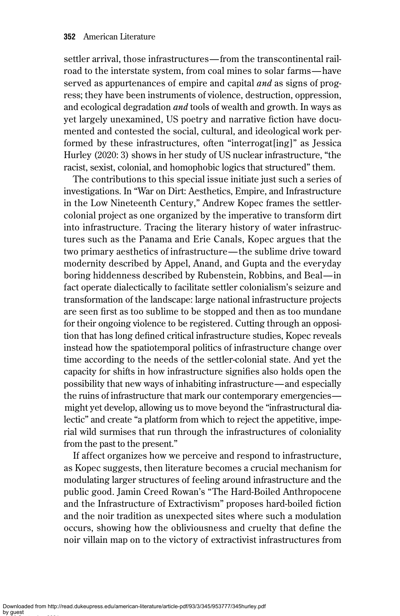settler arrival, those infrastructures—from the transcontinental railroad to the interstate system, from coal mines to solar farms—have served as appurtenances of empire and capital *and* as signs of progress; they have been instruments of violence, destruction, oppression, and ecological degradation and tools of wealth and growth. In ways as yet largely unexamined, US poetry and narrative fiction have documented and contested the social, cultural, and ideological work performed by these infrastructures, often "interrogat[ing]" as Jessica Hurley (2020: 3) shows in her study of US nuclear infrastructure, "the racist, sexist, colonial, and homophobic logics that structured" them.

The contributions to this special issue initiate just such a series of investigations. In "War on Dirt: Aesthetics, Empire, and Infrastructure in the Low Nineteenth Century," Andrew Kopec frames the settlercolonial project as one organized by the imperative to transform dirt into infrastructure. Tracing the literary history of water infrastructures such as the Panama and Erie Canals, Kopec argues that the two primary aesthetics of infrastructure—the sublime drive toward modernity described by Appel, Anand, and Gupta and the everyday boring hiddenness described by Rubenstein, Robbins, and Beal—in fact operate dialectically to facilitate settler colonialism's seizure and transformation of the landscape: large national infrastructure projects are seen first as too sublime to be stopped and then as too mundane for their ongoing violence to be registered. Cutting through an opposition that has long defined critical infrastructure studies, Kopec reveals instead how the spatiotemporal politics of infrastructure change over time according to the needs of the settler-colonial state. And yet the capacity for shifts in how infrastructure signifies also holds open the possibility that new ways of inhabiting infrastructure—and especially the ruins of infrastructure that mark our contemporary emergencies might yet develop, allowing us to move beyond the "infrastructural dialectic" and create "a platform from which to reject the appetitive, imperial wild surmises that run through the infrastructures of coloniality from the past to the present."

If affect organizes how we perceive and respond to infrastructure, as Kopec suggests, then literature becomes a crucial mechanism for modulating larger structures of feeling around infrastructure and the public good. Jamin Creed Rowan's "The Hard-Boiled Anthropocene and the Infrastructure of Extractivism" proposes hard-boiled fiction and the noir tradition as unexpected sites where such a modulation occurs, showing how the obliviousness and cruelty that define the noir villain map on to the victory of extractivist infrastructures from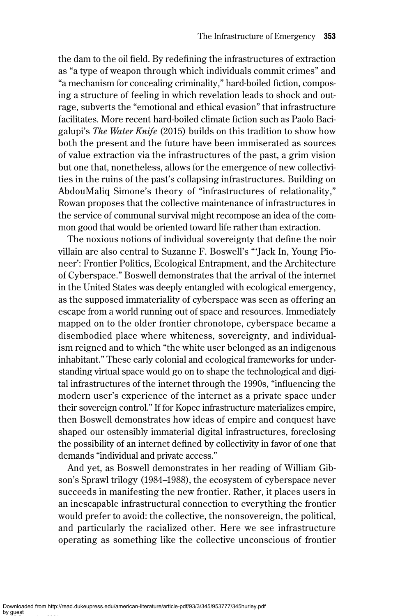the dam to the oil field. By redefining the infrastructures of extraction as "a type of weapon through which individuals commit crimes" and "a mechanism for concealing criminality," hard-boiled fiction, composing a structure of feeling in which revelation leads to shock and outrage, subverts the "emotional and ethical evasion" that infrastructure facilitates. More recent hard-boiled climate fiction such as Paolo Bacigalupi's The Water Knife (2015) builds on this tradition to show how both the present and the future have been immiserated as sources of value extraction via the infrastructures of the past, a grim vision but one that, nonetheless, allows for the emergence of new collectivities in the ruins of the past's collapsing infrastructures. Building on AbdouMaliq Simone's theory of "infrastructures of relationality," Rowan proposes that the collective maintenance of infrastructures in the service of communal survival might recompose an idea of the common good that would be oriented toward life rather than extraction.

The noxious notions of individual sovereignty that define the noir villain are also central to Suzanne F. Boswell's "'Jack In, Young Pioneer': Frontier Politics, Ecological Entrapment, and the Architecture of Cyberspace." Boswell demonstrates that the arrival of the internet in the United States was deeply entangled with ecological emergency, as the supposed immateriality of cyberspace was seen as offering an escape from a world running out of space and resources. Immediately mapped on to the older frontier chronotope, cyberspace became a disembodied place where whiteness, sovereignty, and individualism reigned and to which "the white user belonged as an indigenous inhabitant." These early colonial and ecological frameworks for understanding virtual space would go on to shape the technological and digital infrastructures of the internet through the 1990s, "influencing the modern user's experience of the internet as a private space under their sovereign control." If for Kopec infrastructure materializes empire, then Boswell demonstrates how ideas of empire and conquest have shaped our ostensibly immaterial digital infrastructures, foreclosing the possibility of an internet defined by collectivity in favor of one that demands "individual and private access."

And yet, as Boswell demonstrates in her reading of William Gibson's Sprawl trilogy (1984–1988), the ecosystem of cyberspace never succeeds in manifesting the new frontier. Rather, it places users in an inescapable infrastructural connection to everything the frontier would prefer to avoid: the collective, the nonsovereign, the political, and particularly the racialized other. Here we see infrastructure operating as something like the collective unconscious of frontier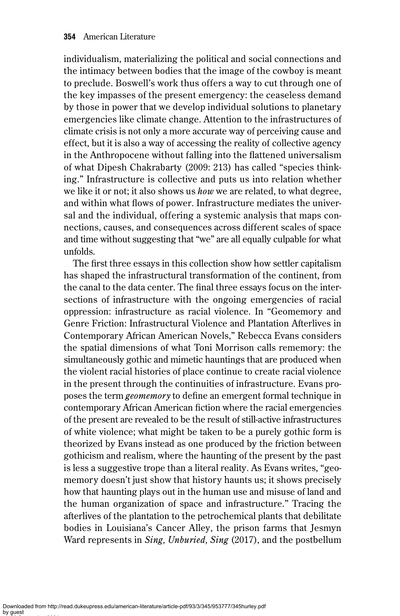individualism, materializing the political and social connections and the intimacy between bodies that the image of the cowboy is meant to preclude. Boswell's work thus offers a way to cut through one of the key impasses of the present emergency: the ceaseless demand by those in power that we develop individual solutions to planetary emergencies like climate change. Attention to the infrastructures of climate crisis is not only a more accurate way of perceiving cause and effect, but it is also a way of accessing the reality of collective agency in the Anthropocene without falling into the flattened universalism of what Dipesh Chakrabarty (2009: 213) has called "species thinking." Infrastructure is collective and puts us into relation whether we like it or not; it also shows us *how* we are related, to what degree, and within what flows of power. Infrastructure mediates the universal and the individual, offering a systemic analysis that maps connections, causes, and consequences across different scales of space and time without suggesting that "we" are all equally culpable for what unfolds.

The first three essays in this collection show how settler capitalism has shaped the infrastructural transformation of the continent, from the canal to the data center. The final three essays focus on the intersections of infrastructure with the ongoing emergencies of racial oppression: infrastructure as racial violence. In "Geomemory and Genre Friction: Infrastructural Violence and Plantation Afterlives in Contemporary African American Novels," Rebecca Evans considers the spatial dimensions of what Toni Morrison calls rememory: the simultaneously gothic and mimetic hauntings that are produced when the violent racial histories of place continue to create racial violence in the present through the continuities of infrastructure. Evans proposes the term geomemory to define an emergent formal technique in contemporary African American fiction where the racial emergencies of the present are revealed to be the result of still-active infrastructures of white violence; what might be taken to be a purely gothic form is theorized by Evans instead as one produced by the friction between gothicism and realism, where the haunting of the present by the past is less a suggestive trope than a literal reality. As Evans writes, "geomemory doesn't just show that history haunts us; it shows precisely how that haunting plays out in the human use and misuse of land and the human organization of space and infrastructure." Tracing the afterlives of the plantation to the petrochemical plants that debilitate bodies in Louisiana's Cancer Alley, the prison farms that Jesmyn Ward represents in *Sing, Unburied, Sing* (2017), and the postbellum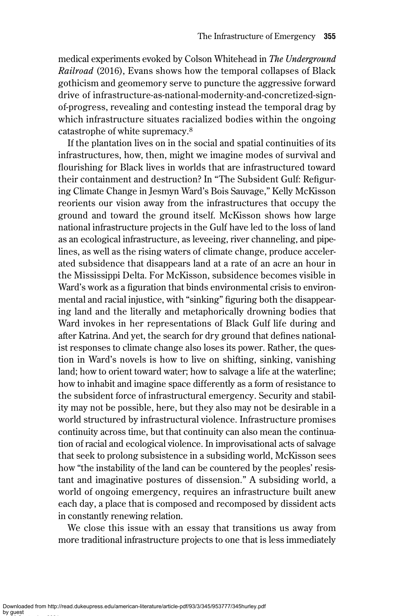medical experiments evoked by Colson Whitehead in The Underground Railroad (2016), Evans shows how the temporal collapses of Black gothicism and geomemory serve to puncture the aggressive forward drive of infrastructure-as-national-modernity-and-concretized-signof-progress, revealing and contesting instead the temporal drag by which infrastructure situates racialized bodies within the ongoing catastrophe of white supremacy.8

If the plantation lives on in the social and spatial continuities of its infrastructures, how, then, might we imagine modes of survival and flourishing for Black lives in worlds that are infrastructured toward their containment and destruction? In "The Subsident Gulf: Refiguring Climate Change in Jesmyn Ward's Bois Sauvage," Kelly McKisson reorients our vision away from the infrastructures that occupy the ground and toward the ground itself. McKisson shows how large national infrastructure projects in the Gulf have led to the loss of land as an ecological infrastructure, as leveeing, river channeling, and pipelines, as well as the rising waters of climate change, produce accelerated subsidence that disappears land at a rate of an acre an hour in the Mississippi Delta. For McKisson, subsidence becomes visible in Ward's work as a figuration that binds environmental crisis to environmental and racial injustice, with "sinking" figuring both the disappearing land and the literally and metaphorically drowning bodies that Ward invokes in her representations of Black Gulf life during and after Katrina. And yet, the search for dry ground that defines nationalist responses to climate change also loses its power. Rather, the question in Ward's novels is how to live on shifting, sinking, vanishing land; how to orient toward water; how to salvage a life at the waterline; how to inhabit and imagine space differently as a form of resistance to the subsident force of infrastructural emergency. Security and stability may not be possible, here, but they also may not be desirable in a world structured by infrastructural violence. Infrastructure promises continuity across time, but that continuity can also mean the continuation of racial and ecological violence. In improvisational acts of salvage that seek to prolong subsistence in a subsiding world, McKisson sees how "the instability of the land can be countered by the peoples' resistant and imaginative postures of dissension." A subsiding world, a world of ongoing emergency, requires an infrastructure built anew each day, a place that is composed and recomposed by dissident acts in constantly renewing relation.

We close this issue with an essay that transitions us away from more traditional infrastructure projects to one that is less immediately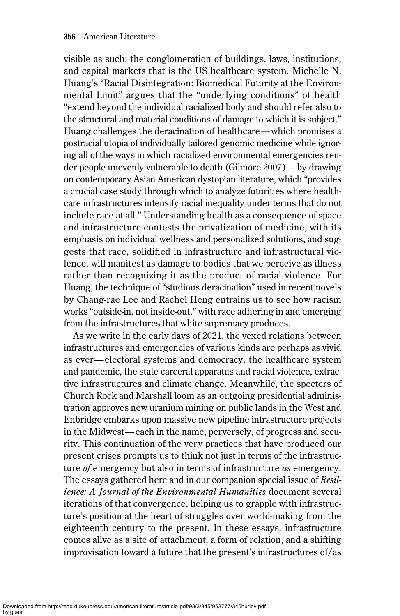visible as such: the conglomeration of buildings, laws, institutions, and capital markets that is the US healthcare system. Michelle N. Huang's "Racial Disintegration: Biomedical Futurity at the Environmental Limit" argues that the "underlying conditions" of health "extend beyond the individual racialized body and should refer also to the structural and material conditions of damage to which it is subject." Huang challenges the deracination of healthcare—which promises a postracial utopia of individually tailored genomic medicine while ignoring all of the ways in which racialized environmental emergencies render people unevenly vulnerable to death (Gilmore 2007)—by drawing on contemporary Asian American dystopian literature, which "provides a crucial case study through which to analyze futurities where healthcare infrastructures intensify racial inequality under terms that do not include race at all." Understanding health as a consequence of space and infrastructure contests the privatization of medicine, with its emphasis on individual wellness and personalized solutions, and suggests that race, solidified in infrastructure and infrastructural violence, will manifest as damage to bodies that we perceive as illness rather than recognizing it as the product of racial violence. For Huang, the technique of "studious deracination" used in recent novels by Chang-rae Lee and Rachel Heng entrains us to see how racism works "outside-in, not inside-out," with race adhering in and emerging from the infrastructures that white supremacy produces.

As we write in the early days of 2021, the vexed relations between infrastructures and emergencies of various kinds are perhaps as vivid as ever—electoral systems and democracy, the healthcare system and pandemic, the state carceral apparatus and racial violence, extractive infrastructures and climate change. Meanwhile, the specters of Church Rock and Marshall loom as an outgoing presidential administration approves new uranium mining on public lands in the West and Enbridge embarks upon massive new pipeline infrastructure projects in the Midwest—each in the name, perversely, of progress and security. This continuation of the very practices that have produced our present crises prompts us to think not just in terms of the infrastructure *of* emergency but also in terms of infrastructure *as* emergency. The essays gathered here and in our companion special issue of Resilience: A Journal of the Environmental Humanities document several iterations of that convergence, helping us to grapple with infrastructure's position at the heart of struggles over world-making from the eighteenth century to the present. In these essays, infrastructure comes alive as a site of attachment, a form of relation, and a shifting improvisation toward a future that the present's infrastructures of/as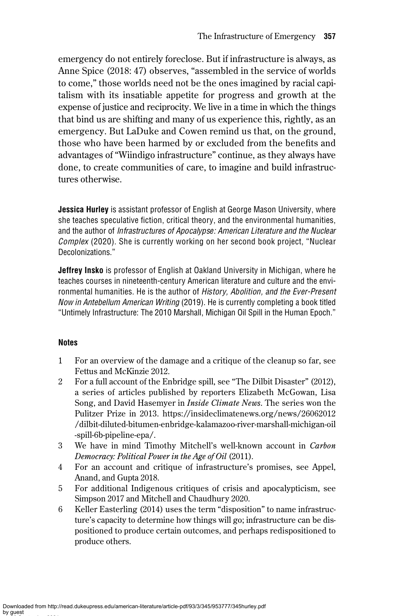emergency do not entirely foreclose. But if infrastructure is always, as Anne Spice (2018: 47) observes, "assembled in the service of worlds to come," those worlds need not be the ones imagined by racial capitalism with its insatiable appetite for progress and growth at the expense of justice and reciprocity. We live in a time in which the things that bind us are shifting and many of us experience this, rightly, as an emergency. But LaDuke and Cowen remind us that, on the ground, those who have been harmed by or excluded from the benefits and advantages of "Wiindigo infrastructure" continue, as they always have done, to create communities of care, to imagine and build infrastructures otherwise.

**Jessica Hurley** is assistant professor of English at George Mason University, where she teaches speculative fiction, critical theory, and the environmental humanities, and the author of Infrastructures of Apocalypse: American Literature and the Nuclear Complex (2020). She is currently working on her second book project, "Nuclear Decolonizations."

**Jeffrey Insko** is professor of English at Oakland University in Michigan, where he teaches courses in nineteenth-century American literature and culture and the environmental humanities. He is the author of History, Abolition, and the Ever-Present Now in Antebellum American Writing (2019). He is currently completing a book titled "Untimely Infrastructure: The 2010 Marshall, Michigan Oil Spill in the Human Epoch."

## **Notes**

- 1 For an overview of the damage and a critique of the cleanup so far, see Fettus and McKinzie 2012.
- 2 For a full account of the Enbridge spill, see "The Dilbit Disaster" (2012), a series of articles published by reporters Elizabeth McGowan, Lisa Song, and David Hasemyer in *Inside Climate News*. The series won the Pulitzer Prize in 2013. [https://insideclimatenews.org/news/26062012](https://insideclimatenews.org/news/26062012/dilbit-diluted-bitumen-enbridge-kalamazoo-river-marshall-michigan-oil-spill-6b-pipeline-epa/) [/dilbit-diluted-bitumen-enbridge-kalamazoo-river-marshall-michigan-oil](https://insideclimatenews.org/news/26062012/dilbit-diluted-bitumen-enbridge-kalamazoo-river-marshall-michigan-oil-spill-6b-pipeline-epa/) [-spill-6b-pipeline-epa/](https://insideclimatenews.org/news/26062012/dilbit-diluted-bitumen-enbridge-kalamazoo-river-marshall-michigan-oil-spill-6b-pipeline-epa/).
- 3 We have in mind Timothy Mitchell's well-known account in Carbon Democracy: Political Power in the Age of Oil (2011).
- 4 For an account and critique of infrastructure's promises, see Appel, Anand, and Gupta 2018.
- 5 For additional Indigenous critiques of crisis and apocalypticism, see Simpson 2017 and Mitchell and Chaudhury 2020.
- 6 Keller Easterling (2014) uses the term "disposition" to name infrastructure's capacity to determine how things will go; infrastructure can be dispositioned to produce certain outcomes, and perhaps redispositioned to produce others.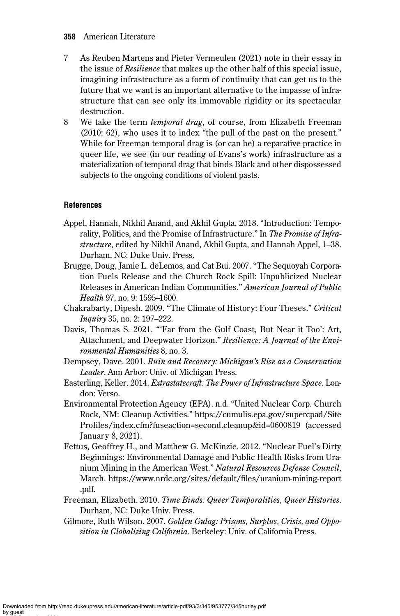## 358 American Literature

- 7 As Reuben Martens and Pieter Vermeulen (2021) note in their essay in the issue of Resilience that makes up the other half of this special issue, imagining infrastructure as a form of continuity that can get us to the future that we want is an important alternative to the impasse of infrastructure that can see only its immovable rigidity or its spectacular destruction.
- 8 We take the term *temporal drag*, of course, from Elizabeth Freeman (2010: 62), who uses it to index "the pull of the past on the present." While for Freeman temporal drag is (or can be) a reparative practice in queer life, we see (in our reading of Evans's work) infrastructure as a materialization of temporal drag that binds Black and other dispossessed subjects to the ongoing conditions of violent pasts.

## References

- Appel, Hannah, Nikhil Anand, and Akhil Gupta. 2018. "Introduction: Temporality, Politics, and the Promise of Infrastructure." In The Promise of Infrastructure, edited by Nikhil Anand, Akhil Gupta, and Hannah Appel, 1–38. Durham, NC: Duke Univ. Press.
- Brugge, Doug, Jamie L. deLemos, and Cat Bui. 2007. "The Sequoyah Corporation Fuels Release and the Church Rock Spill: Unpublicized Nuclear Releases in American Indian Communities." American Journal of Public Health 97, no. 9: 1595–1600.
- Chakrabarty, Dipesh. 2009. "The Climate of History: Four Theses." Critical Inquiry 35, no. 2: 197–222.
- Davis, Thomas S. 2021. "'Far from the Gulf Coast, But Near it Too': Art, Attachment, and Deepwater Horizon." Resilience: A Journal of the Environmental Humanities 8, no. 3.
- Dempsey, Dave. 2001. Ruin and Recovery: Michigan's Rise as a Conservation Leader. Ann Arbor: Univ. of Michigan Press.
- Easterling, Keller. 2014. Extrastatecraft: The Power of Infrastructure Space. London: Verso.
- Environmental Protection Agency (EPA). n.d. "United Nuclear Corp. Church Rock, NM: Cleanup Activities." [https://cumulis.epa.gov/supercpad/Site](https://cumulis.epa.gov/supercpad/SiteProfiles/index.cfm?fuseaction=second.cleanup&id=0600819) Profi[les/index.cfm?fuseaction=second.cleanup&id=0600819](https://cumulis.epa.gov/supercpad/SiteProfiles/index.cfm?fuseaction=second.cleanup&id=0600819) (accessed January 8, 2021).
- Fettus, Geoffrey H., and Matthew G. McKinzie. 2012. "Nuclear Fuel's Dirty Beginnings: Environmental Damage and Public Health Risks from Uranium Mining in the American West." Natural Resources Defense Council, March. [https://www.nrdc.org/sites/default/](https://www.nrdc.org/sites/default/files/uranium-mining-report.pdf)files/uranium-mining-report [.pdf](https://www.nrdc.org/sites/default/files/uranium-mining-report.pdf).
- Freeman, Elizabeth. 2010. Time Binds: Queer Temporalities, Queer Histories. Durham, NC: Duke Univ. Press.
- Gilmore, Ruth Wilson. 2007. Golden Gulag: Prisons, Surplus, Crisis, and Opposition in Globalizing California. Berkeley: Univ. of California Press.

on 09 September 2021